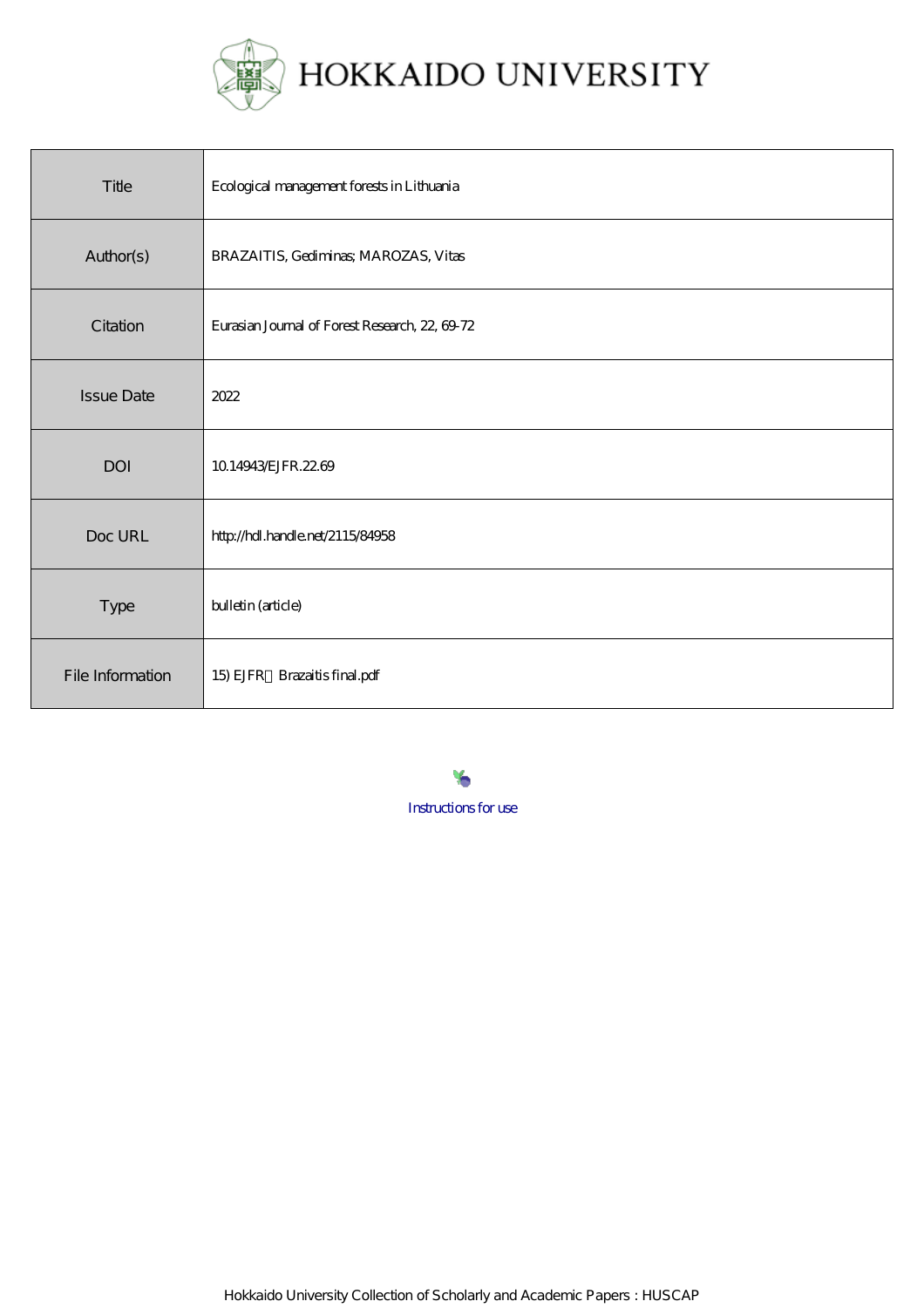

| Title             | Ecological management forests in Lithuania     |
|-------------------|------------------------------------------------|
| Author(s)         | BRAZAITIS, Gediminas; MAROZAS, Vitas           |
| Citation          | Eurasian Journal of Forest Research, 22, 69-72 |
| <b>Issue Date</b> | 2022                                           |
| <b>DOI</b>        | 10.14943/EJFR.22.69                            |
| Doc URL           | http://hdl.handle.net/2115/84958               |
| Type              | bulletin (article)                             |
| File Information  | 15) EJFR Brazaitis final.pdf                   |

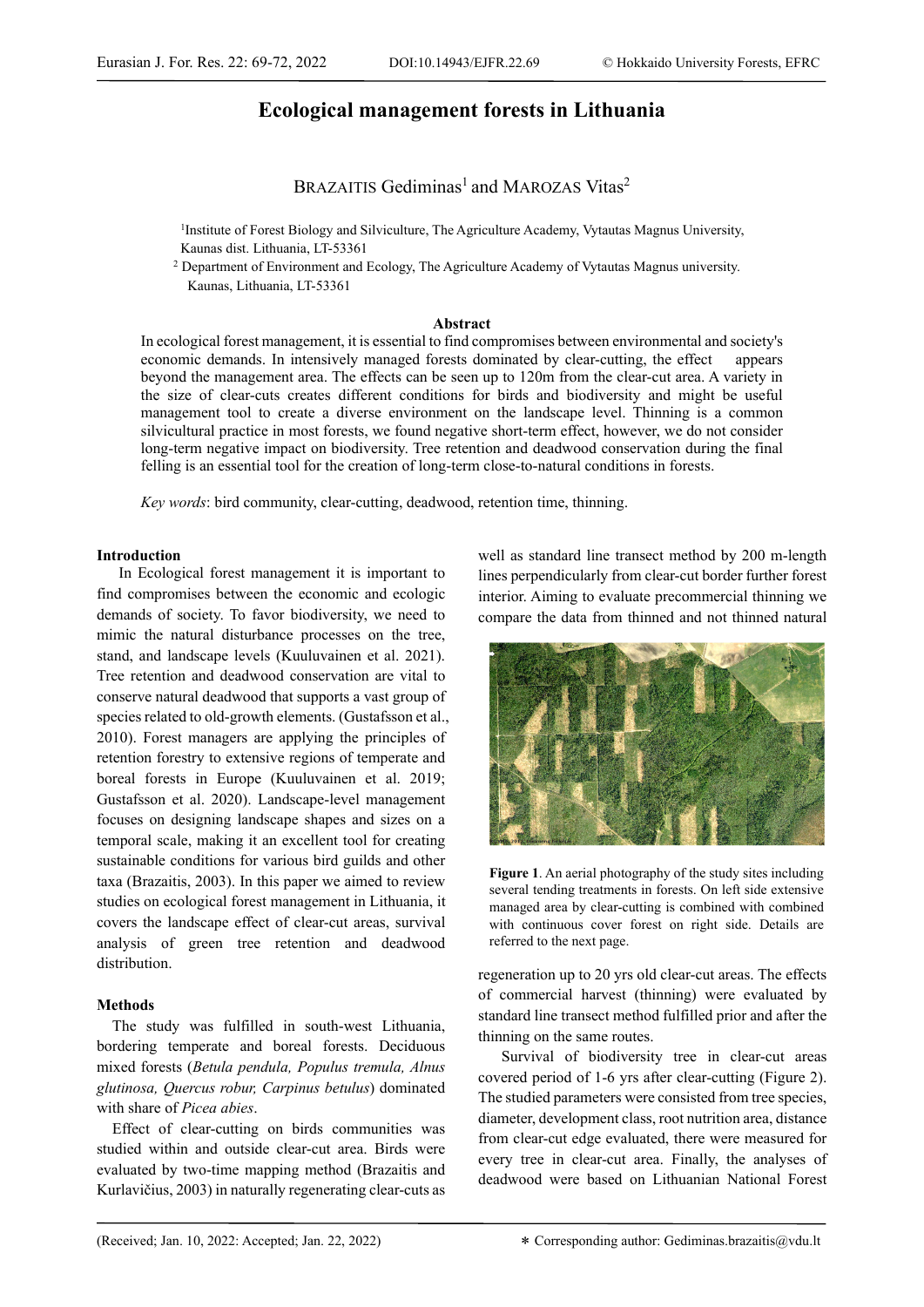# **Ecological management forests in Lithuania**

BRAZAITIS Gediminas<sup>1</sup> and MAROZAS Vitas<sup>2</sup>

<sup>1</sup>Institute of Forest Biology and Silviculture, The Agriculture Academy, Vytautas Magnus University, Kaunas dist. Lithuania, LT-53361<br><sup>2</sup> Department of Environment and Ecology, The Agriculture Academy of Vytautas Magnus university.

Kaunas, Lithuania, LT-53361

## **Abstract**

In ecological forest management, it is essential to find compromises between environmental and society's economic demands. In intensively managed forests dominated by clear-cutting, the effect appears beyond the management area. The effects can be seen up to 120m from the clear-cut area. A variety in the size of clear-cuts creates different conditions for birds and biodiversity and might be useful management tool to create a diverse environment on the landscape level. Thinning is a common silvicultural practice in most forests, we found negative short-term effect, however, we do not consider long-term negative impact on biodiversity. Tree retention and deadwood conservation during the final felling is an essential tool for the creation of long-term close-to-natural conditions in forests.

*Key words*: bird community, clear-cutting, deadwood, retention time, thinning.

## **Introduction**

In Ecological forest management it is important to find compromises between the economic and ecologic demands of society. To favor biodiversity, we need to mimic the natural disturbance processes on the tree, stand, and landscape levels (Kuuluvainen et al. 2021). Tree retention and deadwood conservation are vital to conserve natural deadwood that supports a vast group of species related to old-growth elements. (Gustafsson et al., 2010). Forest managers are applying the principles of retention forestry to extensive regions of temperate and boreal forests in Europe (Kuuluvainen et al. 2019; Gustafsson et al. 2020). Landscape-level management focuses on designing landscape shapes and sizes on a temporal scale, making it an excellent tool for creating sustainable conditions for various bird guilds and other taxa (Brazaitis, 2003). In this paper we aimed to review studies on ecological forest management in Lithuania, it covers the landscape effect of clear-cut areas, survival analysis of green tree retention and deadwood distribution.

## **Methods**

The study was fulfilled in south-west Lithuania, bordering temperate and boreal forests. Deciduous mixed forests (*Betula pendula, Populus tremula, Alnus glutinosa, Quercus robur, Carpinus betulus*) dominated with share of *Picea abies*.

Effect of clear-cutting on birds communities was studied within and outside clear-cut area. Birds were evaluated by two-time mapping method (Brazaitis and Kurlavičius, 2003) in naturally regenerating clear-cuts as well as standard line transect method by 200 m-length lines perpendicularly from clear-cut border further forest interior. Aiming to evaluate precommercial thinning we compare the data from thinned and not thinned natural



**Figure 1**. An aerial photography of the study sites including several tending treatments in forests. On left side extensive managed area by clear-cutting is combined with combined with continuous cover forest on right side. Details are referred to the next page.

regeneration up to 20 yrs old clear-cut areas. The effects of commercial harvest (thinning) were evaluated by standard line transect method fulfilled prior and after the thinning on the same routes.

Survival of biodiversity tree in clear-cut areas covered period of 1-6 yrs after clear-cutting (Figure 2). The studied parameters were consisted from tree species, diameter, development class, root nutrition area, distance from clear-cut edge evaluated, there were measured for every tree in clear-cut area. Finally, the analyses of deadwood were based on Lithuanian National Forest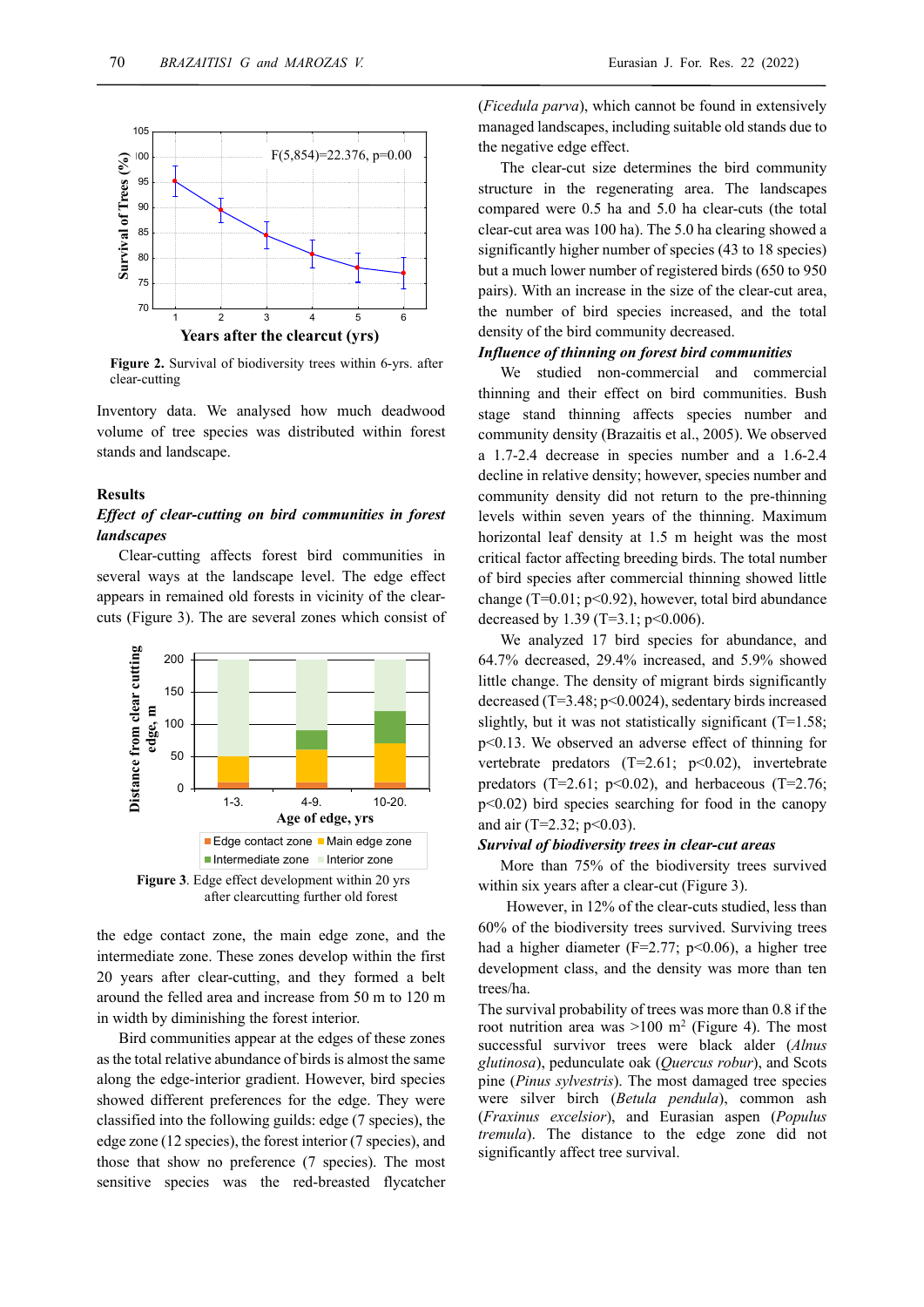

**Figure 2.** Survival of biodiversity trees within 6-yrs. after clear-cutting

Inventory data. We analysed how much deadwood volume of tree species was distributed within forest stands and landscape.

#### **Results**

## *Effect of clear-cutting on bird communities in forest landscapes*

Clear-cutting affects forest bird communities in several ways at the landscape level. The edge effect appears in remained old forests in vicinity of the clearcuts (Figure 3). The are several zones which consist of



the edge contact zone, the main edge zone, and the intermediate zone. These zones develop within the first 20 years after clear-cutting, and they formed a belt around the felled area and increase from 50 m to 120 m in width by diminishing the forest interior.

Bird communities appear at the edges of these zones as the total relative abundance of birds is almost the same along the edge-interior gradient. However, bird species showed different preferences for the edge. They were classified into the following guilds: edge (7 species), the edge zone (12 species), the forest interior (7 species), and those that show no preference (7 species). The most sensitive species was the red-breasted flycatcher

(*Ficedula parva*), which cannot be found in extensively managed landscapes, including suitable old stands due to the negative edge effect.

The clear-cut size determines the bird community structure in the regenerating area. The landscapes compared were 0.5 ha and 5.0 ha clear-cuts (the total clear-cut area was 100 ha). The 5.0 ha clearing showed a significantly higher number of species (43 to 18 species) but a much lower number of registered birds (650 to 950 pairs). With an increase in the size of the clear-cut area, the number of bird species increased, and the total density of the bird community decreased.

## *Influence of thinning on forest bird communities*

We studied non-commercial and commercial thinning and their effect on bird communities. Bush stage stand thinning affects species number and community density (Brazaitis et al., 2005). We observed a 1.7-2.4 decrease in species number and a 1.6-2.4 decline in relative density; however, species number and community density did not return to the pre-thinning levels within seven years of the thinning. Maximum horizontal leaf density at 1.5 m height was the most critical factor affecting breeding birds. The total number of bird species after commercial thinning showed little change (T=0.01;  $p$ <0.92), however, total bird abundance decreased by 1.39 (T=3.1;  $p<0.006$ ).

We analyzed 17 bird species for abundance, and 64.7% decreased, 29.4% increased, and 5.9% showed little change. The density of migrant birds significantly decreased (T=3.48; p<0.0024), sedentary birds increased slightly, but it was not statistically significant (T=1.58; p<0.13. We observed an adverse effect of thinning for vertebrate predators  $(T=2.61; p<0.02)$ , invertebrate predators (T=2.61; p<0.02), and herbaceous (T=2.76; p<0.02) bird species searching for food in the canopy and air (T=2.32;  $p<0.03$ ).

#### *Survival of biodiversity trees in clear-cut areas*

More than 75% of the biodiversity trees survived within six years after a clear-cut (Figure 3).

 However, in 12% of the clear-cuts studied, less than 60% of the biodiversity trees survived. Surviving trees had a higher diameter ( $F=2.77$ ;  $p<0.06$ ), a higher tree development class, and the density was more than ten trees/ha.

The survival probability of trees was more than 0.8 if the root nutrition area was  $>100$  m<sup>2</sup> (Figure 4). The most successful survivor trees were black alder (*Alnus glutinosa*), pedunculate oak (*Quercus robur*), and Scots pine (*Pinus sylvestris*). The most damaged tree species were silver birch (*Betula pendula*), common ash (*Fraxinus excelsior*), and Eurasian aspen (*Populus tremula*). The distance to the edge zone did not significantly affect tree survival.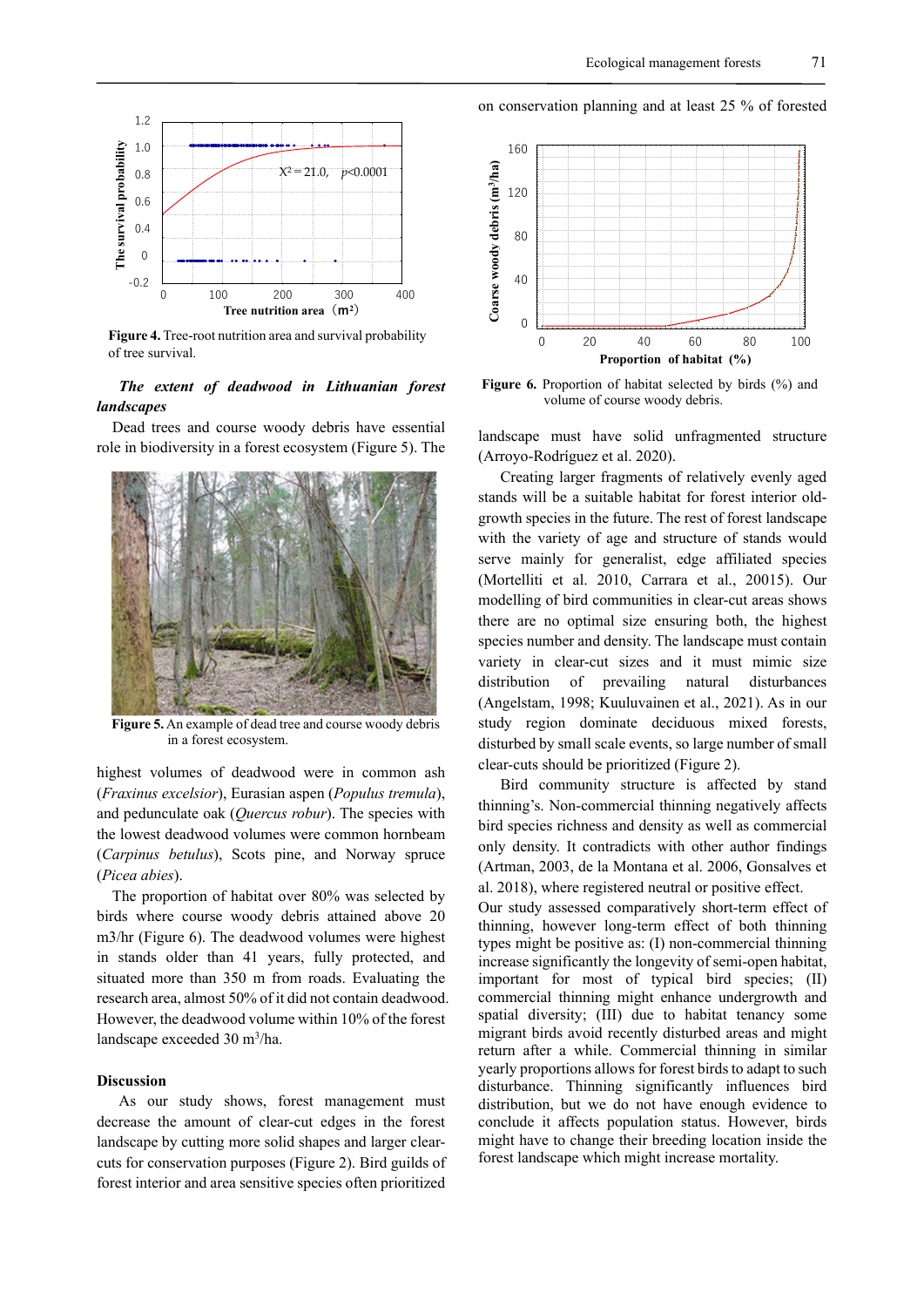

**Figure 4.** Tree-root nutrition area and survival probability of tree survival.

# *The extent of deadwood in Lithuanian forest landscapes*

Dead trees and course woody debris have essential role in biodiversity in a forest ecosystem (Figure 5). The



**Figure 5.** An example of dead tree and course woody debris in a forest ecosystem.

highest volumes of deadwood were in common ash (*Fraxinus excelsior*), Eurasian aspen (*Populus tremula*), and pedunculate oak (*Quercus robur*). The species with the lowest deadwood volumes were common hornbeam (*Carpinus betulus*), Scots pine, and Norway spruce (*Picea abies*).

The proportion of habitat over 80% was selected by birds where course woody debris attained above 20 m3/hr (Figure 6). The deadwood volumes were highest in stands older than 41 years, fully protected, and situated more than 350 m from roads. Evaluating the research area, almost 50% of it did not contain deadwood. However, the deadwood volume within 10% of the forest landscape exceeded 30 m<sup>3</sup>/ha.

## **Discussion**

As our study shows, forest management must decrease the amount of clear-cut edges in the forest landscape by cutting more solid shapes and larger clearcuts for conservation purposes (Figure 2). Bird guilds of forest interior and area sensitive species often prioritized

on conservation planning and at least 25 % of forested



Figure 6. Proportion of habitat selected by birds (%) and volume of course woody debris.

landscape must have solid unfragmented structure (Arroyo‐Rodríguez et al. 2020).

Creating larger fragments of relatively evenly aged stands will be a suitable habitat for forest interior oldgrowth species in the future. The rest of forest landscape with the variety of age and structure of stands would serve mainly for generalist, edge affiliated species (Mortelliti et al. 2010, Carrara et al., 20015). Our modelling of bird communities in clear-cut areas shows there are no optimal size ensuring both, the highest species number and density. The landscape must contain variety in clear-cut sizes and it must mimic size distribution of prevailing natural disturbances (Angelstam, 1998; Kuuluvainen et al., 2021). As in our study region dominate deciduous mixed forests, disturbed by small scale events, so large number of small clear-cuts should be prioritized (Figure 2).

Bird community structure is affected by stand thinning's. Non-commercial thinning negatively affects bird species richness and density as well as commercial only density. It contradicts with other author findings (Artman, 2003, de la Montana et al. 2006, Gonsalves et al. 2018), where registered neutral or positive effect.

Our study assessed comparatively short-term effect of thinning, however long-term effect of both thinning types might be positive as: (I) non-commercial thinning increase significantly the longevity of semi-open habitat, important for most of typical bird species; (II) commercial thinning might enhance undergrowth and spatial diversity; (III) due to habitat tenancy some migrant birds avoid recently disturbed areas and might return after a while. Commercial thinning in similar yearly proportions allows for forest birds to adapt to such disturbance. Thinning significantly influences bird distribution, but we do not have enough evidence to conclude it affects population status. However, birds might have to change their breeding location inside the forest landscape which might increase mortality.